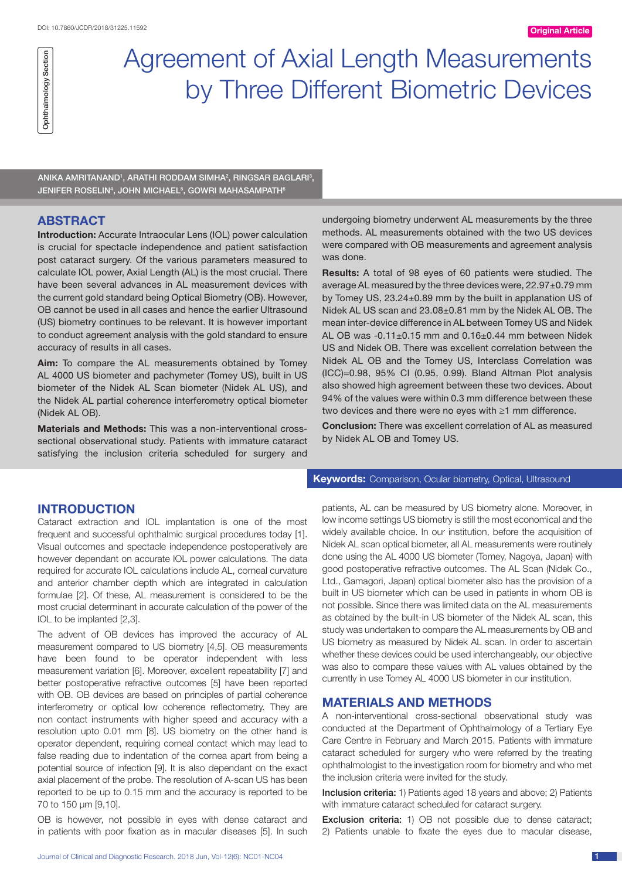# Ophthalmology Section Ophthalmology Section

# Agreement of Axial Length Measurements by Three Different Biometric Devices

ANIKA AMRITANAND<sup>1</sup>, ARATHI RODDAM SIMHA<sup>2</sup>, RINGSAR BAGLARI<sup>3</sup>, JENIFER ROSELIN<sup>4</sup>, JOHN MICHAEL<sup>5</sup>, GOWRI MAHASAMPATH<sup>6</sup>

# **ABSTRACT**

**Introduction:** Accurate Intraocular Lens (IOL) power calculation is crucial for spectacle independence and patient satisfaction post cataract surgery. Of the various parameters measured to calculate IOL power, Axial Length (AL) is the most crucial. There have been several advances in AL measurement devices with the current gold standard being Optical Biometry (OB). However, OB cannot be used in all cases and hence the earlier Ultrasound (US) biometry continues to be relevant. It is however important to conduct agreement analysis with the gold standard to ensure accuracy of results in all cases.

**Aim:** To compare the AL measurements obtained by Tomey AL 4000 US biometer and pachymeter (Tomey US), built in US biometer of the Nidek AL Scan biometer (Nidek AL US), and the Nidek AL partial coherence interferometry optical biometer (Nidek AL OB).

**Materials and Methods:** This was a non-interventional crosssectional observational study. Patients with immature cataract satisfying the inclusion criteria scheduled for surgery and

## **INTRODUCTION**

Cataract extraction and IOL implantation is one of the most frequent and successful ophthalmic surgical procedures today [1]. Visual outcomes and spectacle independence postoperatively are however dependant on accurate IOL power calculations. The data required for accurate IOL calculations include AL, corneal curvature and anterior chamber depth which are integrated in calculation formulae [2]. Of these, AL measurement is considered to be the most crucial determinant in accurate calculation of the power of the IOL to be implanted [2,3].

The advent of OB devices has improved the accuracy of AL measurement compared to US biometry [4,5]. OB measurements have been found to be operator independent with less measurement variation [6]. Moreover, excellent repeatability [7] and better postoperative refractive outcomes [5] have been reported with OB. OB devices are based on principles of partial coherence interferometry or optical low coherence reflectometry. They are non contact instruments with higher speed and accuracy with a resolution upto 0.01 mm [8]. US biometry on the other hand is operator dependent, requiring corneal contact which may lead to false reading due to indentation of the cornea apart from being a potential source of infection [9]. It is also dependant on the exact axial placement of the probe. The resolution of A-scan US has been reported to be up to 0.15 mm and the accuracy is reported to be 70 to 150 μm [9,10].

OB is however, not possible in eyes with dense cataract and in patients with poor fixation as in macular diseases [5]. In such undergoing biometry underwent AL measurements by the three methods. AL measurements obtained with the two US devices were compared with OB measurements and agreement analysis was done.

**Results:** A total of 98 eyes of 60 patients were studied. The average AL measured by the three devices were, 22.97±0.79 mm by Tomey US, 23.24±0.89 mm by the built in applanation US of Nidek AL US scan and 23.08±0.81 mm by the Nidek AL OB. The mean inter-device difference in AL between Tomey US and Nidek AL OB was -0.11±0.15 mm and 0.16±0.44 mm between Nidek US and Nidek OB. There was excellent correlation between the Nidek AL OB and the Tomey US, Interclass Correlation was (ICC)=0.98, 95% CI (0.95, 0.99). Bland Altman Plot analysis also showed high agreement between these two devices. About 94% of the values were within 0.3 mm difference between these two devices and there were no eyes with ≥1 mm difference.

**Conclusion:** There was excellent correlation of AL as measured by Nidek AL OB and Tomey US.

#### **Keywords:** Comparison, Ocular biometry, Optical, Ultrasound

patients, AL can be measured by US biometry alone. Moreover, in low income settings US biometry is still the most economical and the widely available choice. In our institution, before the acquisition of Nidek AL scan optical biometer, all AL measurements were routinely done using the AL 4000 US biometer (Tomey, Nagoya, Japan) with good postoperative refractive outcomes. The AL Scan (Nidek Co., Ltd., Gamagori, Japan) optical biometer also has the provision of a built in US biometer which can be used in patients in whom OB is not possible. Since there was limited data on the AL measurements as obtained by the built-in US biometer of the Nidek AL scan, this study was undertaken to compare the AL measurements by OB and US biometry as measured by Nidek AL scan. In order to ascertain whether these devices could be used interchangeably, our objective was also to compare these values with AL values obtained by the currently in use Tomey AL 4000 US biometer in our institution.

## **MATERIALS AND METHODS**

A non-interventional cross-sectional observational study was conducted at the Department of Ophthalmology of a Tertiary Eye Care Centre in February and March 2015. Patients with immature cataract scheduled for surgery who were referred by the treating ophthalmologist to the investigation room for biometry and who met the inclusion criteria were invited for the study.

Inclusion criteria: 1) Patients aged 18 years and above; 2) Patients with immature cataract scheduled for cataract surgery.

Exclusion criteria: 1) OB not possible due to dense cataract; 2) Patients unable to fixate the eyes due to macular disease,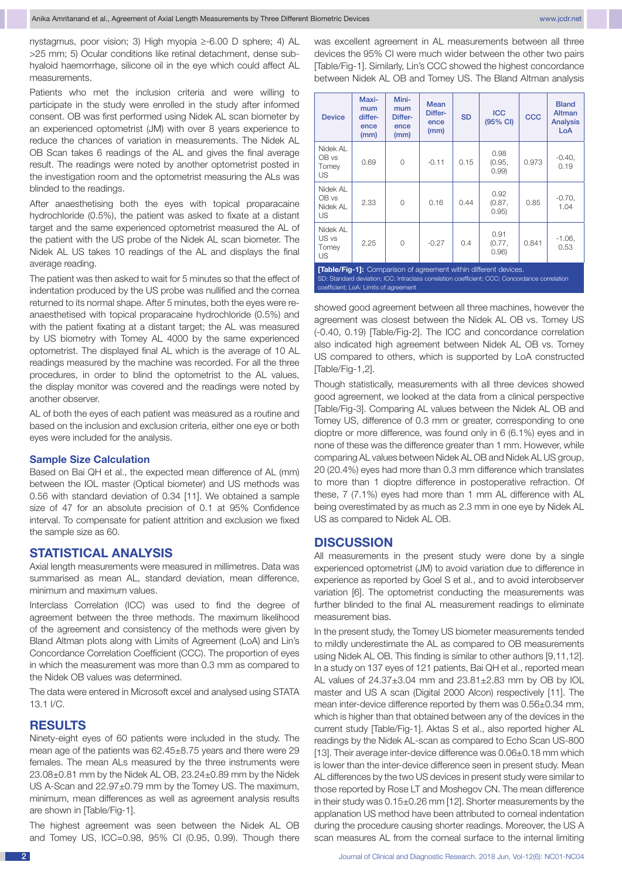nystagmus, poor vision; 3) High myopia ≥-6.00 D sphere; 4) AL >25 mm; 5) Ocular conditions like retinal detachment, dense subhyaloid haemorrhage, silicone oil in the eye which could affect AL measurements.

Patients who met the inclusion criteria and were willing to participate in the study were enrolled in the study after informed consent. OB was first performed using Nidek AL scan biometer by an experienced optometrist (JM) with over 8 years experience to reduce the chances of variation in measurements. The Nidek AL OB Scan takes 6 readings of the AL and gives the final average result. The readings were noted by another optometrist posted in the investigation room and the optometrist measuring the ALs was blinded to the readings.

After anaesthetising both the eyes with topical proparacaine hydrochloride (0.5%), the patient was asked to fixate at a distant target and the same experienced optometrist measured the AL of the patient with the US probe of the Nidek AL scan biometer. The Nidek AL US takes 10 readings of the AL and displays the final average reading.

The patient was then asked to wait for 5 minutes so that the effect of indentation produced by the US probe was nullified and the cornea returned to its normal shape. After 5 minutes, both the eyes were reanaesthetised with topical proparacaine hydrochloride (0.5%) and with the patient fixating at a distant target; the AL was measured by US biometry with Tomey AL 4000 by the same experienced optometrist. The displayed final AL which is the average of 10 AL readings measured by the machine was recorded. For all the three procedures, in order to blind the optometrist to the AL values, the display monitor was covered and the readings were noted by another observer.

AL of both the eyes of each patient was measured as a routine and based on the inclusion and exclusion criteria, either one eye or both eyes were included for the analysis.

#### **Sample Size Calculation**

Based on Bai QH et al., the expected mean difference of AL (mm) between the IOL master (Optical biometer) and US methods was 0.56 with standard deviation of 0.34 [11]. We obtained a sample size of 47 for an absolute precision of 0.1 at 95% Confidence interval. To compensate for patient attrition and exclusion we fixed the sample size as 60.

#### **STATISTICAL ANALYSIS**

Axial length measurements were measured in millimetres. Data was summarised as mean AL, standard deviation, mean difference, minimum and maximum values.

Interclass Correlation (ICC) was used to find the degree of agreement between the three methods. The maximum likelihood of the agreement and consistency of the methods were given by Bland Altman plots along with Limits of Agreement (LoA) and Lin's Concordance Correlation Coefficient (CCC). The proportion of eyes in which the measurement was more than 0.3 mm as compared to the Nidek OB values was determined.

The data were entered in Microsoft excel and analysed using STATA 13.1 I/C.

#### **RESULTS**

Ninety-eight eyes of 60 patients were included in the study. The mean age of the patients was 62.45±8.75 years and there were 29 females. The mean ALs measured by the three instruments were 23.08±0.81 mm by the Nidek AL OB, 23.24±0.89 mm by the Nidek US A-Scan and 22.97±0.79 mm by the Tomey US. The maximum, minimum, mean differences as well as agreement analysis results are shown in [Table/Fig-1].

The highest agreement was seen between the Nidek AL OB and Tomey US, ICC=0.98, 95% CI (0.95, 0.99). Though there was excellent agreement in AL measurements between all three devices the 95% CI were much wider between the other two pairs [Table/Fig-1]. Similarly, Lin's CCC showed the highest concordance between Nidek AL OB and Tomey US. The Bland Altman analysis

| <b>Device</b>                                                                                                                                                                                              | Maxi-<br>mum<br>differ-<br>ence<br>(mm) | Mini-<br>mum<br>Differ-<br>ence<br>(mm) | Mean<br>Differ-<br>ence<br>(mm) | <b>SD</b> | <b>ICC</b><br>(95% CI)  | CCC   | <b>Bland</b><br>Altman<br><b>Analysis</b><br>LoA |  |
|------------------------------------------------------------------------------------------------------------------------------------------------------------------------------------------------------------|-----------------------------------------|-----------------------------------------|---------------------------------|-----------|-------------------------|-------|--------------------------------------------------|--|
| Nidek AL<br>OB vs<br>Tomey<br>US.                                                                                                                                                                          | 0.69                                    | $\Omega$                                | $-0.11$                         | 0.15      | 0.98<br>(0.95,<br>0.99  | 0.973 | $-0.40,$<br>0.19                                 |  |
| Nidek AL<br>OB vs<br>Nidek AL<br>US.                                                                                                                                                                       | 2.33                                    | $\Omega$                                | 0.16                            | 0.44      | 0.92<br>(0.87,<br>0.95) | 0.85  | $-0.70$ ,<br>1.04                                |  |
| Nidek AL<br>US vs<br>Tomey<br>US                                                                                                                                                                           | 2.25                                    | $\Omega$                                | $-0.27$                         | 0.4       | 0.91<br>(0.77,<br>0.96  | 0.841 | $-1.06$<br>0.53                                  |  |
| [Table/Fig-1]: Comparison of agreement within different devices.<br>SD: Standard deviation; ICC: Intraclass correlation coefficient; CCC: Concordance correlation<br>coefficient; LoA: Limits of agreement |                                         |                                         |                                 |           |                         |       |                                                  |  |

showed good agreement between all three machines, however the agreement was closest between the Nidek AL OB vs. Tomey US (-0.40, 0.19) [Table/Fig-2]. The ICC and concordance correlation also indicated high agreement between Nidek AL OB vs. Tomey US compared to others, which is supported by LoA constructed [Table/Fig-1,2].

Though statistically, measurements with all three devices showed good agreement, we looked at the data from a clinical perspective [Table/Fig-3]. Comparing AL values between the Nidek AL OB and Tomey US, difference of 0.3 mm or greater, corresponding to one dioptre or more difference, was found only in 6 (6.1%) eyes and in none of these was the difference greater than 1 mm. However, while comparing AL values between Nidek AL OB and Nidek AL US group, 20 (20.4%) eyes had more than 0.3 mm difference which translates to more than 1 dioptre difference in postoperative refraction. Of these, 7 (7.1%) eyes had more than 1 mm AL difference with AL being overestimated by as much as 2.3 mm in one eye by Nidek AL US as compared to Nidek AL OB.

#### **DISCUSSION**

All measurements in the present study were done by a single experienced optometrist (JM) to avoid variation due to difference in experience as reported by Goel S et al., and to avoid interobserver variation [6]. The optometrist conducting the measurements was further blinded to the final AL measurement readings to eliminate measurement bias.

In the present study, the Tomey US biometer measurements tended to mildly underestimate the AL as compared to OB measurements using Nidek AL OB. This finding is similar to other authors [9,11,12]. In a study on 137 eyes of 121 patients, Bai QH et al., reported mean AL values of  $24.37\pm3.04$  mm and  $23.81\pm2.83$  mm by OB by IOL master and US A scan (Digital 2000 Alcon) respectively [11]. The mean inter-device difference reported by them was 0.56±0.34 mm, which is higher than that obtained between any of the devices in the current study [Table/Fig-1]. Aktas S et al., also reported higher AL readings by the Nidek AL-scan as compared to Echo Scan US-800 [13]. Their average inter-device difference was 0.06±0.18 mm which is lower than the inter-device difference seen in present study. Mean AL differences by the two US devices in present study were similar to those reported by Rose LT and Moshegov CN. The mean difference in their study was 0.15±0.26 mm [12]. Shorter measurements by the applanation US method have been attributed to corneal indentation during the procedure causing shorter readings. Moreover, the US A scan measures AL from the corneal surface to the internal limiting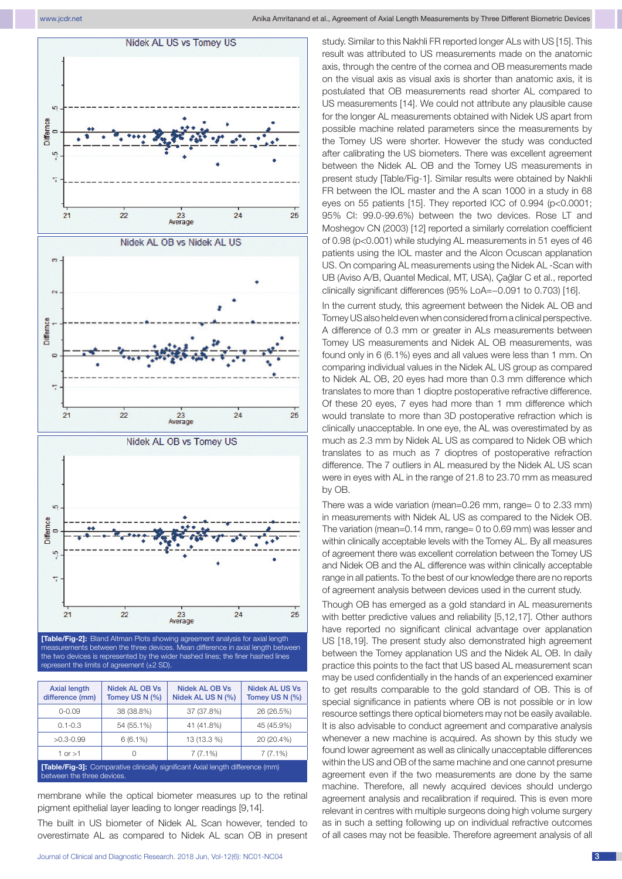

measurements between the three devices. Mean difference in axial length between the two devices is represented by the wider hashed lines; the finer hashed lines represent the limits of agreement (±2 SD).

| <b>Axial length</b><br>difference (mm)                                                                       | Nidek AL OB Vs<br>Tomey US N (%) | Nidek AL OB Vs<br>Nidek AL US N (%) | Nidek AL US Vs<br>Tomey US N (%) |  |  |  |  |
|--------------------------------------------------------------------------------------------------------------|----------------------------------|-------------------------------------|----------------------------------|--|--|--|--|
| $0 - 0.09$                                                                                                   | 38 (38.8%)                       | 37 (37.8%)                          | 26 (26.5%)                       |  |  |  |  |
| $0.1 - 0.3$                                                                                                  | 54 (55.1%)                       | 41 (41.8%)                          | 45 (45.9%)                       |  |  |  |  |
| $>0.3 - 0.99$                                                                                                | $6(6.1\%)$                       | 13 (13.3 %)                         | 20 (20.4%)                       |  |  |  |  |
| 1 or $>1$                                                                                                    | 0                                | $7(7.1\%)$                          | $7(7.1\%)$                       |  |  |  |  |
| [Table/Fig-3]: Comparative clinically significant Axial length difference (mm)<br>between the three devices. |                                  |                                     |                                  |  |  |  |  |

membrane while the optical biometer measures up to the retinal pigment epithelial layer leading to longer readings [9,14].

The built in US biometer of Nidek AL Scan however, tended to overestimate AL as compared to Nidek AL scan OB in present study. Similar to this Nakhli FR reported longer ALs with US [15]. This result was attributed to US measurements made on the anatomic axis, through the centre of the cornea and OB measurements made on the visual axis as visual axis is shorter than anatomic axis, it is postulated that OB measurements read shorter AL compared to US measurements [14]. We could not attribute any plausible cause for the longer AL measurements obtained with Nidek US apart from possible machine related parameters since the measurements by the Tomey US were shorter. However the study was conducted after calibrating the US biometers. There was excellent agreement between the Nidek AL OB and the Tomey US measurements in present study [Table/Fig-1]. Similar results were obtained by Nakhli FR between the IOL master and the A scan 1000 in a study in 68 eyes on 55 patients [15]. They reported ICC of 0.994 (p<0.0001; 95% CI: 99.0-99.6%) between the two devices. Rose LT and Moshegov CN (2003) [12] reported a similarly correlation coefficient of 0.98 (p<0.001) while studying AL measurements in 51 eyes of 46 patients using the IOL master and the Alcon Ocuscan applanation US. On comparing AL measurements using the Nidek AL -Scan with UB (Aviso A/B, Quantel Medical, MT, USA), Çağlar C et al., reported clinically significant differences (95% LoA=−0.091 to 0.703) [16].

In the current study, this agreement between the Nidek AL OB and Tomey US also held even when considered from a clinical perspective. A difference of 0.3 mm or greater in ALs measurements between Tomey US measurements and Nidek AL OB measurements, was found only in 6 (6.1%) eyes and all values were less than 1 mm. On comparing individual values in the Nidek AL US group as compared to Nidek AL OB, 20 eyes had more than 0.3 mm difference which translates to more than 1 dioptre postoperative refractive difference. Of these 20 eyes, 7 eyes had more than 1 mm difference which would translate to more than 3D postoperative refraction which is clinically unacceptable. In one eye, the AL was overestimated by as much as 2.3 mm by Nidek AL US as compared to Nidek OB which translates to as much as 7 dioptres of postoperative refraction difference. The 7 outliers in AL measured by the Nidek AL US scan were in eyes with AL in the range of 21.8 to 23.70 mm as measured by OB.

There was a wide variation (mean=0.26 mm, range= 0 to 2.33 mm) in measurements with Nidek AL US as compared to the Nidek OB. The variation (mean=0.14 mm, range= 0 to 0.69 mm) was lesser and within clinically acceptable levels with the Tomey AL. By all measures of agreement there was excellent correlation between the Tomey US and Nidek OB and the AL difference was within clinically acceptable range in all patients. To the best of our knowledge there are no reports of agreement analysis between devices used in the current study.

Though OB has emerged as a gold standard in AL measurements with better predictive values and reliability [5,12,17]. Other authors have reported no significant clinical advantage over applanation US [18,19]. The present study also demonstrated high agreement between the Tomey applanation US and the Nidek AL OB. In daily practice this points to the fact that US based AL measurement scan may be used confidentially in the hands of an experienced examiner to get results comparable to the gold standard of OB. This is of special significance in patients where OB is not possible or in low resource settings there optical biometers may not be easily available. It is also advisable to conduct agreement and comparative analysis whenever a new machine is acquired. As shown by this study we found lower agreement as well as clinically unacceptable differences within the US and OB of the same machine and one cannot presume agreement even if the two measurements are done by the same machine. Therefore, all newly acquired devices should undergo agreement analysis and recalibration if required. This is even more relevant in centres with multiple surgeons doing high volume surgery as in such a setting following up on individual refractive outcomes of all cases may not be feasible. Therefore agreement analysis of all